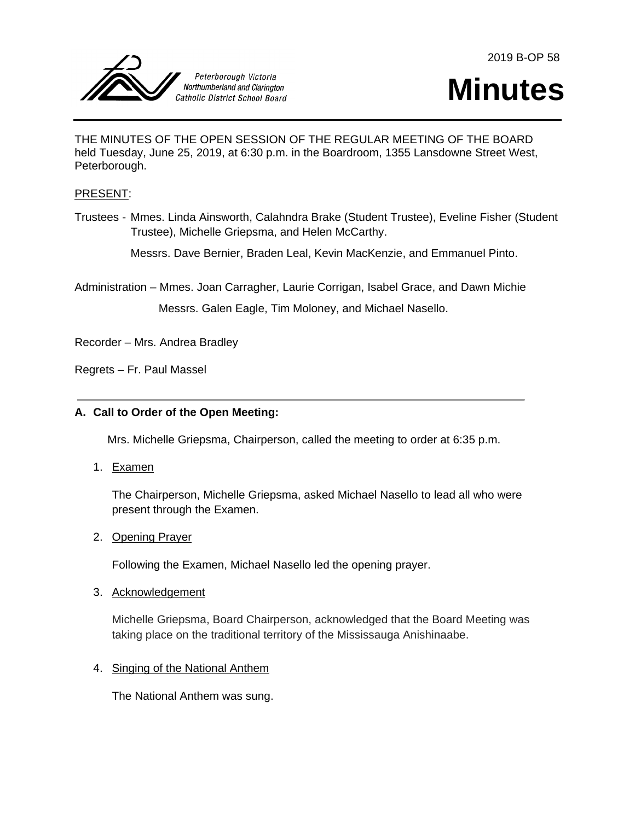



# **Minutes**

THE MINUTES OF THE OPEN SESSION OF THE REGULAR MEETING OF THE BOARD held Tuesday, June 25, 2019, at 6:30 p.m. in the Boardroom, 1355 Lansdowne Street West, Peterborough.

### PRESENT:

Trustees - Mmes. Linda Ainsworth, Calahndra Brake (Student Trustee), Eveline Fisher (Student Trustee), Michelle Griepsma, and Helen McCarthy.

Messrs. Dave Bernier, Braden Leal, Kevin MacKenzie, and Emmanuel Pinto.

Administration – Mmes. Joan Carragher, Laurie Corrigan, Isabel Grace, and Dawn Michie

Messrs. Galen Eagle, Tim Moloney, and Michael Nasello.

Recorder – Mrs. Andrea Bradley

Regrets – Fr. Paul Massel

# **A. Call to Order of the Open Meeting:**

Mrs. Michelle Griepsma, Chairperson, called the meeting to order at 6:35 p.m.

1. Examen

The Chairperson, Michelle Griepsma, asked Michael Nasello to lead all who were present through the Examen.

# 2. Opening Prayer

Following the Examen, Michael Nasello led the opening prayer.

#### 3. Acknowledgement

Michelle Griepsma, Board Chairperson, acknowledged that the Board Meeting was taking place on the traditional territory of the Mississauga Anishinaabe.

# 4. Singing of the National Anthem

The National Anthem was sung.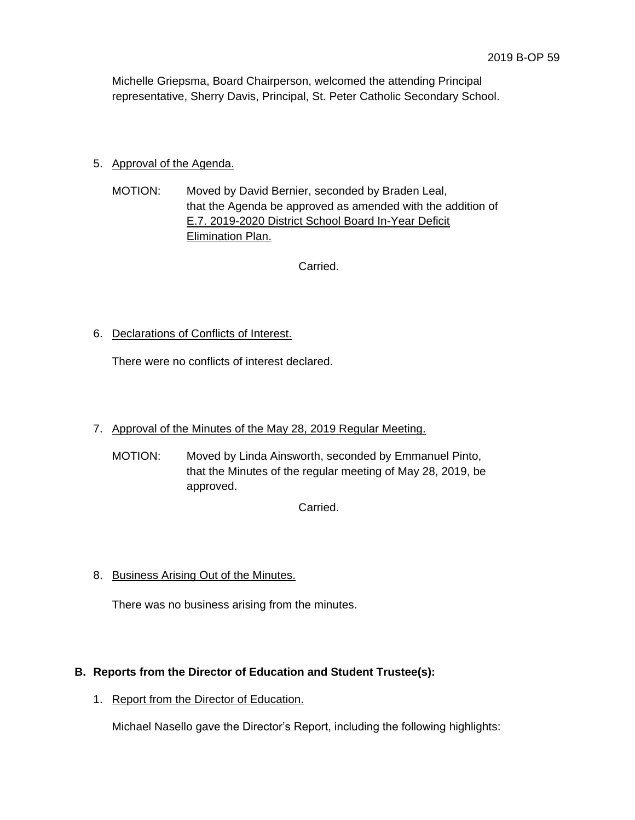Michelle Griepsma, Board Chairperson, welcomed the attending Principal representative, Sherry Davis, Principal, St. Peter Catholic Secondary School.

# 5. Approval of the Agenda.

MOTION: Moved by David Bernier, seconded by Braden Leal, that the Agenda be approved as amended with the addition of E.7. 2019-2020 District School Board In-Year Deficit Elimination Plan.

Carried.

# 6. Declarations of Conflicts of Interest.

There were no conflicts of interest declared.

- 7. Approval of the Minutes of the May 28, 2019 Regular Meeting.
	- MOTION: Moved by Linda Ainsworth, seconded by Emmanuel Pinto, that the Minutes of the regular meeting of May 28, 2019, be approved.

Carried.

# 8. Business Arising Out of the Minutes.

There was no business arising from the minutes.

# **B. Reports from the Director of Education and Student Trustee(s):**

1. Report from the Director of Education.

Michael Nasello gave the Director's Report, including the following highlights: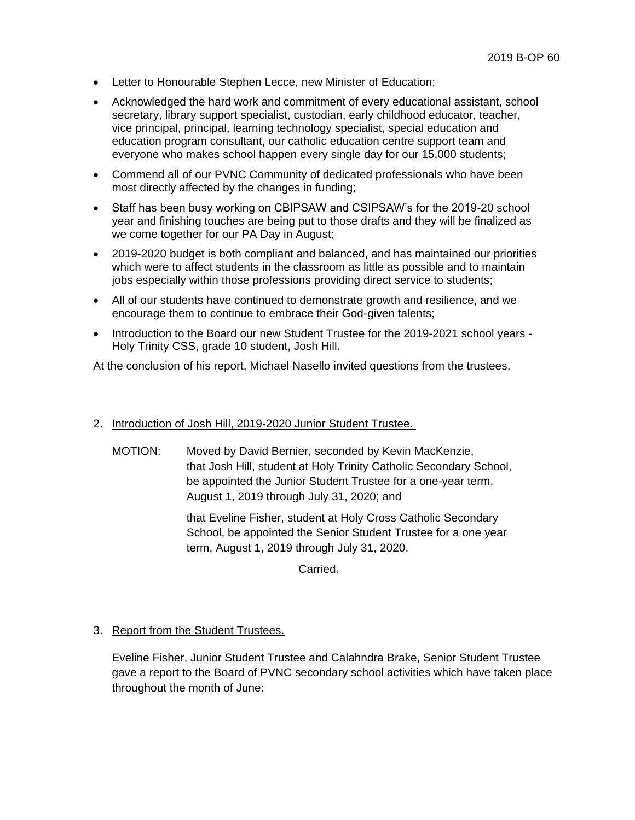- Letter to Honourable Stephen Lecce, new Minister of Education;
- Acknowledged the hard work and commitment of every educational assistant, school secretary, library support specialist, custodian, early childhood educator, teacher, vice principal, principal, learning technology specialist, special education and education program consultant, our catholic education centre support team and everyone who makes school happen every single day for our 15,000 students;
- Commend all of our PVNC Community of dedicated professionals who have been most directly affected by the changes in funding;
- Staff has been busy working on CBIPSAW and CSIPSAW's for the 2019-20 school year and finishing touches are being put to those drafts and they will be finalized as we come together for our PA Day in August;
- 2019-2020 budget is both compliant and balanced, and has maintained our priorities which were to affect students in the classroom as little as possible and to maintain jobs especially within those professions providing direct service to students;
- All of our students have continued to demonstrate growth and resilience, and we encourage them to continue to embrace their God-given talents;
- Introduction to the Board our new Student Trustee for the 2019-2021 school years -Holy Trinity CSS, grade 10 student, Josh Hill.

At the conclusion of his report, Michael Nasello invited questions from the trustees.

- 2. Introduction of Josh Hill, 2019-2020 Junior Student Trustee.
	- MOTION: Moved by David Bernier, seconded by Kevin MacKenzie, that Josh Hill, student at Holy Trinity Catholic Secondary School, be appointed the Junior Student Trustee for a one-year term, August 1, 2019 through July 31, 2020; and

that Eveline Fisher, student at Holy Cross Catholic Secondary School, be appointed the Senior Student Trustee for a one year term, August 1, 2019 through July 31, 2020.

Carried.

# 3. Report from the Student Trustees.

Eveline Fisher, Junior Student Trustee and Calahndra Brake, Senior Student Trustee gave a report to the Board of PVNC secondary school activities which have taken place throughout the month of June: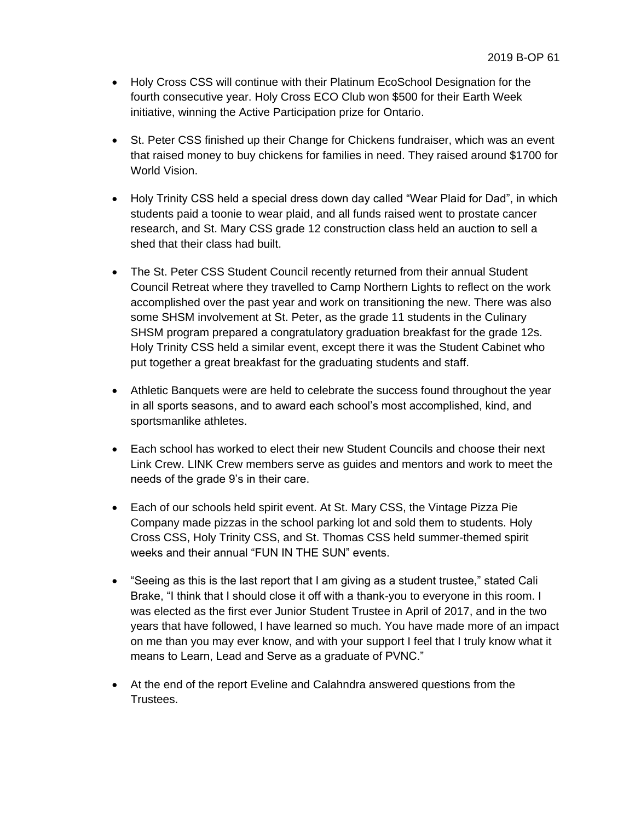- Holy Cross CSS will continue with their Platinum EcoSchool Designation for the fourth consecutive year. Holy Cross ECO Club won \$500 for their Earth Week initiative, winning the Active Participation prize for Ontario.
- St. Peter CSS finished up their Change for Chickens fundraiser, which was an event that raised money to buy chickens for families in need. They raised around \$1700 for World Vision.
- Holy Trinity CSS held a special dress down day called "Wear Plaid for Dad", in which students paid a toonie to wear plaid, and all funds raised went to prostate cancer research, and St. Mary CSS grade 12 construction class held an auction to sell a shed that their class had built.
- The St. Peter CSS Student Council recently returned from their annual Student Council Retreat where they travelled to Camp Northern Lights to reflect on the work accomplished over the past year and work on transitioning the new. There was also some SHSM involvement at St. Peter, as the grade 11 students in the Culinary SHSM program prepared a congratulatory graduation breakfast for the grade 12s. Holy Trinity CSS held a similar event, except there it was the Student Cabinet who put together a great breakfast for the graduating students and staff.
- Athletic Banquets were are held to celebrate the success found throughout the year in all sports seasons, and to award each school's most accomplished, kind, and sportsmanlike athletes.
- Each school has worked to elect their new Student Councils and choose their next Link Crew. LINK Crew members serve as guides and mentors and work to meet the needs of the grade 9's in their care.
- Each of our schools held spirit event. At St. Mary CSS, the Vintage Pizza Pie Company made pizzas in the school parking lot and sold them to students. Holy Cross CSS, Holy Trinity CSS, and St. Thomas CSS held summer-themed spirit weeks and their annual "FUN IN THE SUN" events.
- "Seeing as this is the last report that I am giving as a student trustee," stated Cali Brake, "I think that I should close it off with a thank-you to everyone in this room. I was elected as the first ever Junior Student Trustee in April of 2017, and in the two years that have followed, I have learned so much. You have made more of an impact on me than you may ever know, and with your support I feel that I truly know what it means to Learn, Lead and Serve as a graduate of PVNC."
- At the end of the report Eveline and Calahndra answered questions from the Trustees.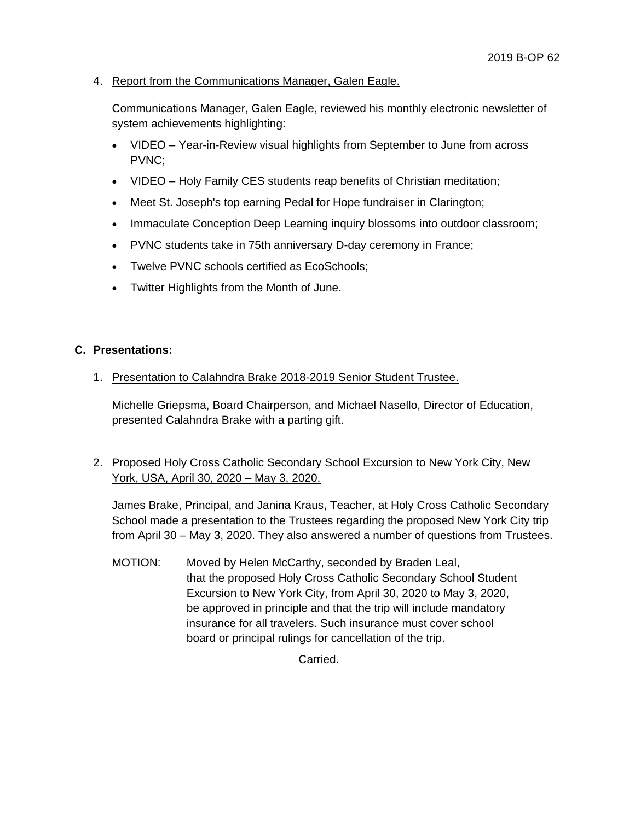4. Report from the Communications Manager, Galen Eagle.

Communications Manager, Galen Eagle, reviewed his monthly electronic newsletter of system achievements highlighting:

- VIDEO Year-in-Review visual highlights from September to June from across PVNC;
- VIDEO Holy Family CES students reap benefits of Christian meditation;
- Meet St. Joseph's top earning Pedal for Hope fundraiser in Clarington;
- Immaculate Conception Deep Learning inquiry blossoms into outdoor classroom;
- PVNC students take in 75th anniversary D-day ceremony in France;
- Twelve PVNC schools certified as EcoSchools;
- Twitter Highlights from the Month of June.

# **C. Presentations:**

1. Presentation to Calahndra Brake 2018-2019 Senior Student Trustee.

Michelle Griepsma, Board Chairperson, and Michael Nasello, Director of Education, presented Calahndra Brake with a parting gift.

2. Proposed Holy Cross Catholic Secondary School Excursion to New York City, New York, USA, April 30, 2020 – May 3, 2020.

James Brake, Principal, and Janina Kraus, Teacher, at Holy Cross Catholic Secondary School made a presentation to the Trustees regarding the proposed New York City trip from April 30 – May 3, 2020. They also answered a number of questions from Trustees.

MOTION: Moved by Helen McCarthy, seconded by Braden Leal, that the proposed Holy Cross Catholic Secondary School Student Excursion to New York City, from April 30, 2020 to May 3, 2020, be approved in principle and that the trip will include mandatory insurance for all travelers. Such insurance must cover school board or principal rulings for cancellation of the trip.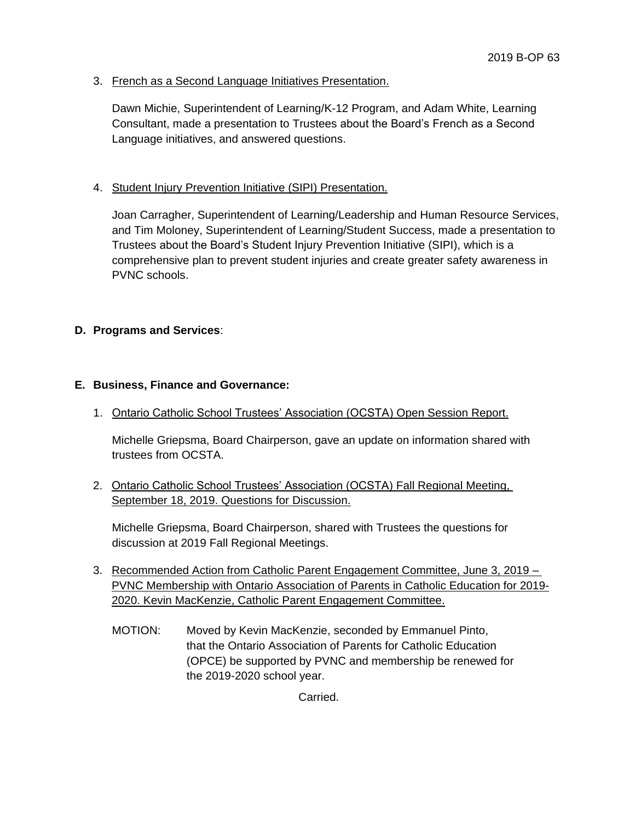3. French as a Second Language Initiatives Presentation.

Dawn Michie, Superintendent of Learning/K-12 Program, and Adam White, Learning Consultant, made a presentation to Trustees about the Board's French as a Second Language initiatives, and answered questions.

## 4. Student Injury Prevention Initiative (SIPI) Presentation.

Joan Carragher, Superintendent of Learning/Leadership and Human Resource Services, and Tim Moloney, Superintendent of Learning/Student Success, made a presentation to Trustees about the Board's Student Injury Prevention Initiative (SIPI), which is a comprehensive plan to prevent student injuries and create greater safety awareness in PVNC schools.

## **D. Programs and Services**:

## **E. Business, Finance and Governance:**

1. Ontario Catholic School Trustees' Association (OCSTA) Open Session Report.

Michelle Griepsma, Board Chairperson, gave an update on information shared with trustees from OCSTA.

# 2. Ontario Catholic School Trustees' Association (OCSTA) Fall Regional Meeting, September 18, 2019. Questions for Discussion.

Michelle Griepsma, Board Chairperson, shared with Trustees the questions for discussion at 2019 Fall Regional Meetings.

- 3. Recommended Action from Catholic Parent Engagement Committee, June 3, 2019 PVNC Membership with Ontario Association of Parents in Catholic Education for 2019- 2020. Kevin MacKenzie, Catholic Parent Engagement Committee.
	- MOTION: Moved by Kevin MacKenzie, seconded by Emmanuel Pinto, that the Ontario Association of Parents for Catholic Education (OPCE) be supported by PVNC and membership be renewed for the 2019-2020 school year.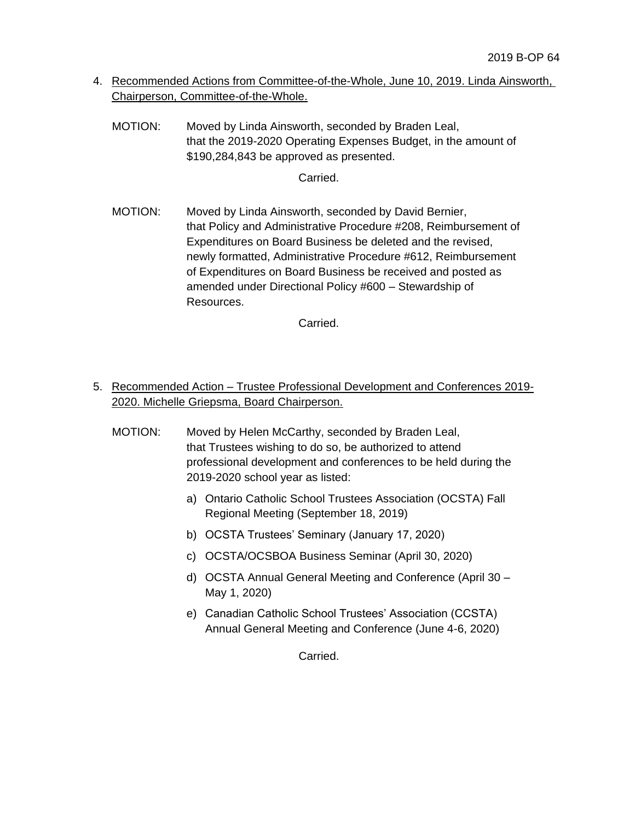- 4. Recommended Actions from Committee-of-the-Whole, June 10, 2019. Linda Ainsworth, Chairperson, Committee-of-the-Whole.
	- MOTION: Moved by Linda Ainsworth, seconded by Braden Leal, that the 2019-2020 Operating Expenses Budget, in the amount of \$190,284,843 be approved as presented.

# Carried.

MOTION: Moved by Linda Ainsworth, seconded by David Bernier, that Policy and Administrative Procedure #208, Reimbursement of Expenditures on Board Business be deleted and the revised, newly formatted, Administrative Procedure #612, Reimbursement of Expenditures on Board Business be received and posted as amended under Directional Policy #600 – Stewardship of Resources.

Carried.

- 5. Recommended Action Trustee Professional Development and Conferences 2019- 2020. Michelle Griepsma, Board Chairperson.
	- MOTION: Moved by Helen McCarthy, seconded by Braden Leal, that Trustees wishing to do so, be authorized to attend professional development and conferences to be held during the 2019-2020 school year as listed:
		- a) Ontario Catholic School Trustees Association (OCSTA) Fall Regional Meeting (September 18, 2019)
		- b) OCSTA Trustees' Seminary (January 17, 2020)
		- c) OCSTA/OCSBOA Business Seminar (April 30, 2020)
		- d) OCSTA Annual General Meeting and Conference (April 30 May 1, 2020)
		- e) Canadian Catholic School Trustees' Association (CCSTA) Annual General Meeting and Conference (June 4-6, 2020)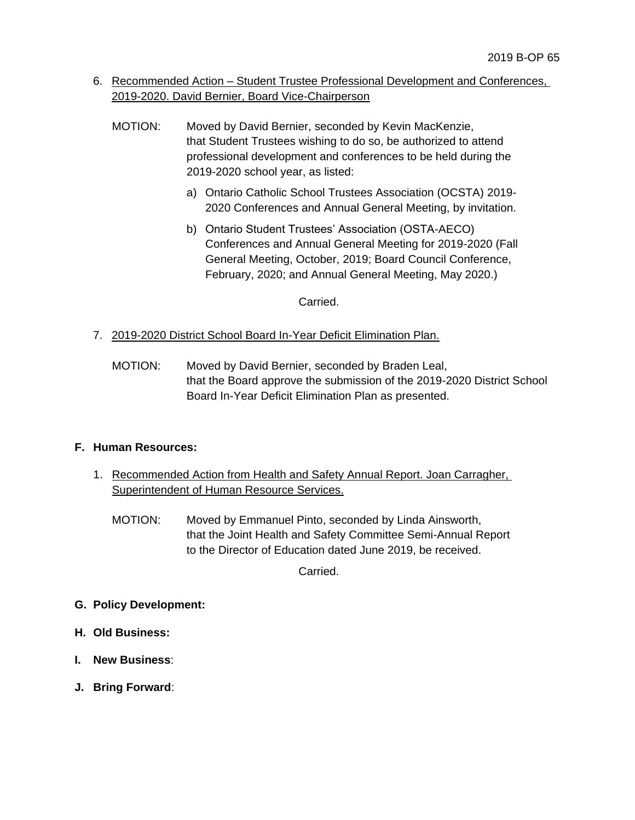- 6. Recommended Action Student Trustee Professional Development and Conferences, 2019-2020. David Bernier, Board Vice-Chairperson
	- MOTION: Moved by David Bernier, seconded by Kevin MacKenzie, that Student Trustees wishing to do so, be authorized to attend professional development and conferences to be held during the 2019-2020 school year, as listed:
		- a) Ontario Catholic School Trustees Association (OCSTA) 2019- 2020 Conferences and Annual General Meeting, by invitation.
		- b) Ontario Student Trustees' Association (OSTA-AECO) Conferences and Annual General Meeting for 2019-2020 (Fall General Meeting, October, 2019; Board Council Conference, February, 2020; and Annual General Meeting, May 2020.)

Carried.

- 7. 2019-2020 District School Board In-Year Deficit Elimination Plan.
	- MOTION: Moved by David Bernier, seconded by Braden Leal, that the Board approve the submission of the 2019-2020 District School Board In-Year Deficit Elimination Plan as presented.

# **F. Human Resources:**

- 1. Recommended Action from Health and Safety Annual Report. Joan Carragher, Superintendent of Human Resource Services.
	- MOTION: Moved by Emmanuel Pinto, seconded by Linda Ainsworth, that the Joint Health and Safety Committee Semi-Annual Report to the Director of Education dated June 2019, be received.

- **G. Policy Development:**
- **H. Old Business:**
- **I. New Business**:
- **J. Bring Forward**: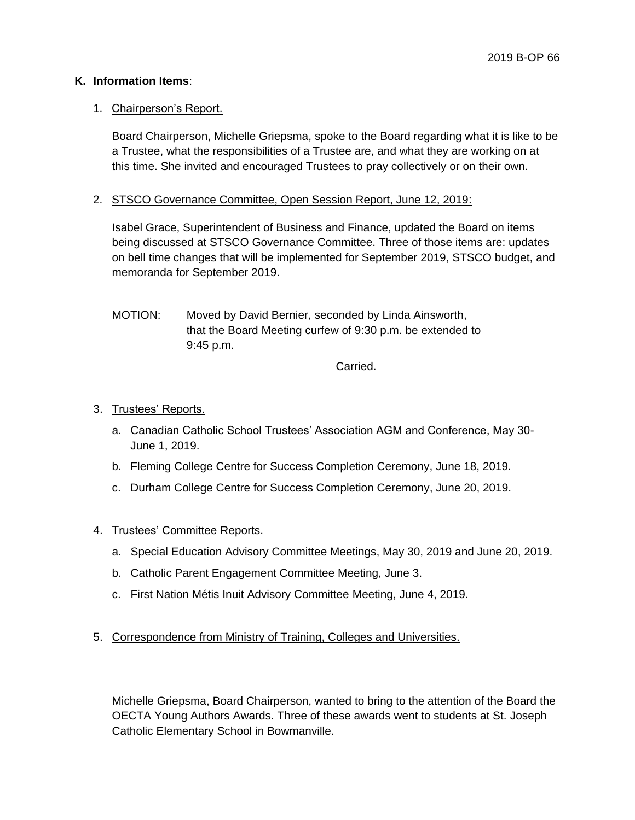## **K. Information Items**:

## 1. Chairperson's Report.

Board Chairperson, Michelle Griepsma, spoke to the Board regarding what it is like to be a Trustee, what the responsibilities of a Trustee are, and what they are working on at this time. She invited and encouraged Trustees to pray collectively or on their own.

2. STSCO Governance Committee, Open Session Report, June 12, 2019:

Isabel Grace, Superintendent of Business and Finance, updated the Board on items being discussed at STSCO Governance Committee. Three of those items are: updates on bell time changes that will be implemented for September 2019, STSCO budget, and memoranda for September 2019.

MOTION: Moved by David Bernier, seconded by Linda Ainsworth, that the Board Meeting curfew of 9:30 p.m. be extended to 9:45 p.m.

Carried.

## 3. Trustees' Reports.

- a. Canadian Catholic School Trustees' Association AGM and Conference, May 30- June 1, 2019.
- b. Fleming College Centre for Success Completion Ceremony, June 18, 2019.
- c. Durham College Centre for Success Completion Ceremony, June 20, 2019.
- 4. Trustees' Committee Reports.
	- a. Special Education Advisory Committee Meetings, May 30, 2019 and June 20, 2019.
	- b. Catholic Parent Engagement Committee Meeting, June 3.
	- c. First Nation Métis Inuit Advisory Committee Meeting, June 4, 2019.
- 5. Correspondence from Ministry of Training, Colleges and Universities.

Michelle Griepsma, Board Chairperson, wanted to bring to the attention of the Board the OECTA Young Authors Awards. Three of these awards went to students at St. Joseph Catholic Elementary School in Bowmanville.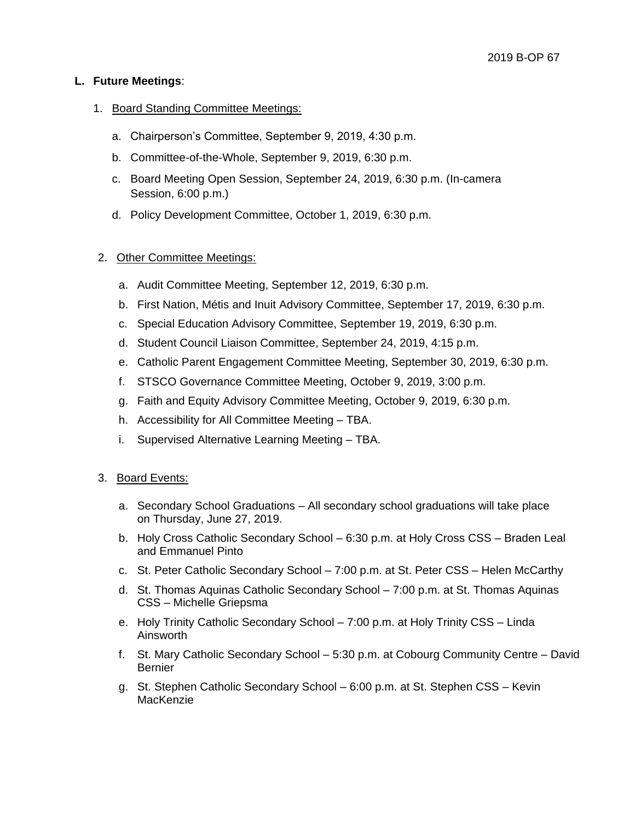## **L. Future Meetings**:

#### 1. Board Standing Committee Meetings:

- a. Chairperson's Committee, September 9, 2019, 4:30 p.m.
- b. Committee-of-the-Whole, September 9, 2019, 6:30 p.m.
- c. Board Meeting Open Session, September 24, 2019, 6:30 p.m. (In-camera Session, 6:00 p.m.)
- d. Policy Development Committee, October 1, 2019, 6:30 p.m.

## 2. Other Committee Meetings:

- a. Audit Committee Meeting, September 12, 2019, 6:30 p.m.
- b. First Nation, Métis and Inuit Advisory Committee, September 17, 2019, 6:30 p.m.
- c. Special Education Advisory Committee, September 19, 2019, 6:30 p.m.
- d. Student Council Liaison Committee, September 24, 2019, 4:15 p.m.
- e. Catholic Parent Engagement Committee Meeting, September 30, 2019, 6:30 p.m.
- f. STSCO Governance Committee Meeting, October 9, 2019, 3:00 p.m.
- g. Faith and Equity Advisory Committee Meeting, October 9, 2019, 6:30 p.m.
- h. Accessibility for All Committee Meeting TBA.
- i. Supervised Alternative Learning Meeting TBA.

#### 3. Board Events:

- a. Secondary School Graduations All secondary school graduations will take place on Thursday, June 27, 2019.
- b. Holy Cross Catholic Secondary School 6:30 p.m. at Holy Cross CSS Braden Leal and Emmanuel Pinto
- c. St. Peter Catholic Secondary School 7:00 p.m. at St. Peter CSS Helen McCarthy
- d. St. Thomas Aquinas Catholic Secondary School 7:00 p.m. at St. Thomas Aquinas CSS – Michelle Griepsma
- e. Holy Trinity Catholic Secondary School 7:00 p.m. at Holy Trinity CSS Linda Ainsworth
- f. St. Mary Catholic Secondary School 5:30 p.m. at Cobourg Community Centre David Bernier
- g. St. Stephen Catholic Secondary School 6:00 p.m. at St. Stephen CSS Kevin **MacKenzie**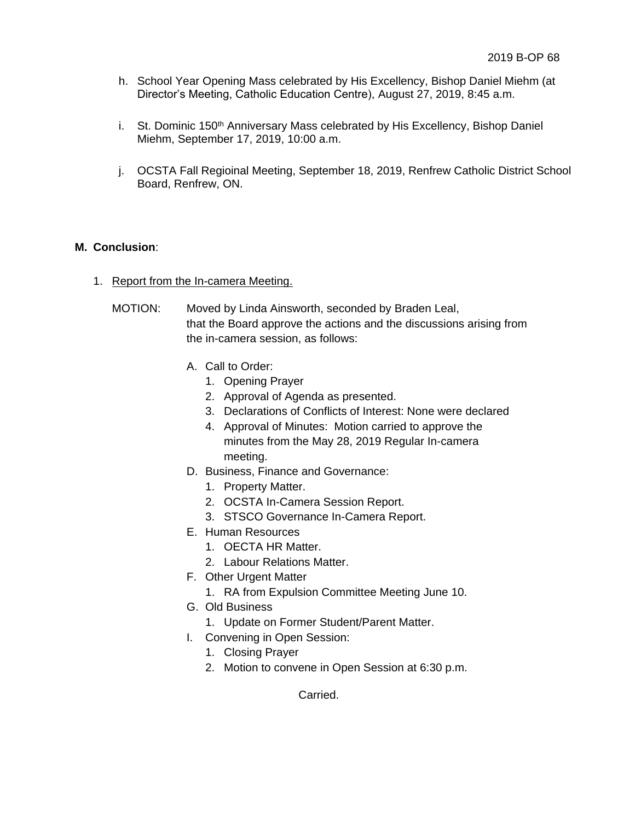- h. School Year Opening Mass celebrated by His Excellency, Bishop Daniel Miehm (at Director's Meeting, Catholic Education Centre), August 27, 2019, 8:45 a.m.
- i. St. Dominic 150<sup>th</sup> Anniversary Mass celebrated by His Excellency, Bishop Daniel Miehm, September 17, 2019, 10:00 a.m.
- j. OCSTA Fall Regioinal Meeting, September 18, 2019, Renfrew Catholic District School Board, Renfrew, ON.

# **M. Conclusion**:

- 1. Report from the In-camera Meeting.
	- MOTION: Moved by Linda Ainsworth, seconded by Braden Leal, that the Board approve the actions and the discussions arising from the in-camera session, as follows:
		- A. Call to Order:
			- 1. Opening Prayer
			- 2. Approval of Agenda as presented.
			- 3. Declarations of Conflicts of Interest: None were declared
			- 4. Approval of Minutes: Motion carried to approve the minutes from the May 28, 2019 Regular In-camera meeting.
		- D. Business, Finance and Governance:
			- 1. Property Matter.
			- 2. OCSTA In-Camera Session Report.
			- 3. STSCO Governance In-Camera Report.
		- E. Human Resources
			- 1. OECTA HR Matter.
			- 2. Labour Relations Matter.
		- F. Other Urgent Matter
			- 1. RA from Expulsion Committee Meeting June 10.
		- G. Old Business
			- 1. Update on Former Student/Parent Matter.
		- I. Convening in Open Session:
			- 1. Closing Prayer
			- 2. Motion to convene in Open Session at 6:30 p.m.